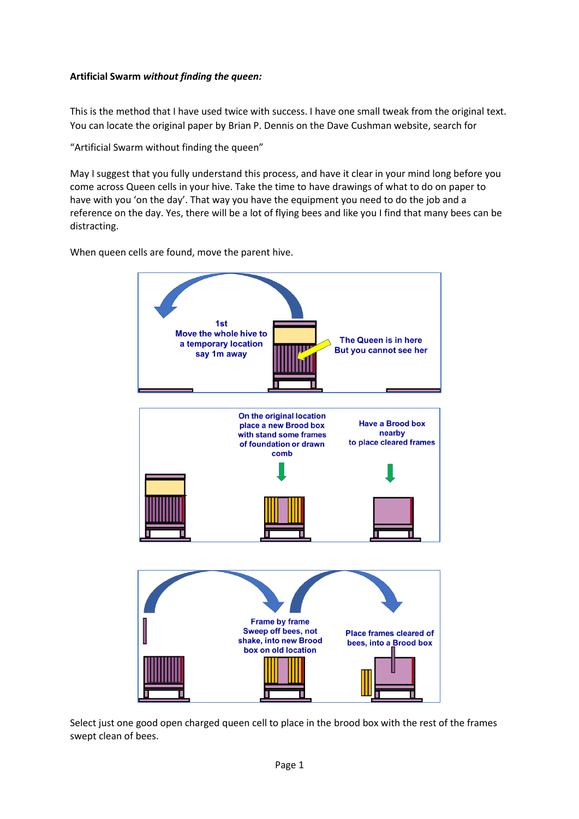## **Artificial Swarm** *without finding the queen:*

This is the method that I have used twice with success. I have one small tweak from the original text. You can locate the original paper by Brian P. Dennis on the Dave Cushman website, search for

"Artificial Swarm without finding the queen"

May I suggest that you fully understand this process, and have it clear in your mind long before you come across Queen cells in your hive. Take the time to have drawings of what to do on paper to have with you 'on the day'. That way you have the equipment you need to do the job and a reference on the day. Yes, there will be a lot of flying bees and like you I find that many bees can be distracting.

When queen cells are found, move the parent hive.



Select just one good open charged queen cell to place in the brood box with the rest of the frames swept clean of bees.